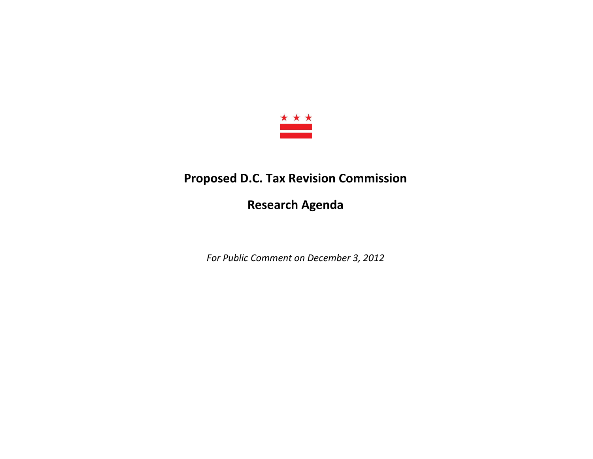

## **Proposed D.C. Tax Revision Commission**

**Research Agenda**

*For Public Comment on December 3, 2012*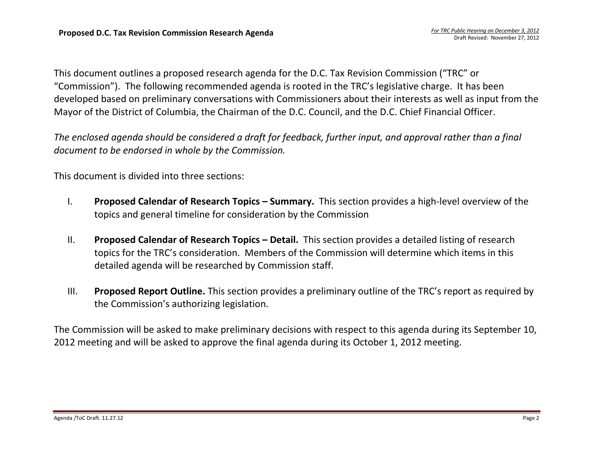This document outlines a proposed research agenda for the D.C. Tax Revision Commission ("TRC" or "Commission"). The following recommended agenda is rooted in the TRC's legislative charge. It has been developed based on preliminary conversations with Commissioners about their interests as well as input from the Mayor of the District of Columbia, the Chairman of the D.C. Council, and the D.C. Chief Financial Officer.

*The enclosed agenda should be considered a draft for feedback, further input, and approval rather than a final document to be endorsed in whole by the Commission.* 

This document is divided into three sections:

- I. **Proposed Calendar of Research Topics – Summary.** This section provides a high-level overview of the topics and general timeline for consideration by the Commission
- II. **Proposed Calendar of Research Topics – Detail.** This section provides a detailed listing of research topics for the TRC's consideration. Members of the Commission will determine which items in this detailed agenda will be researched by Commission staff.
- III. **Proposed Report Outline.** This section provides a preliminary outline of the TRC's report as required by the Commission's authorizing legislation.

The Commission will be asked to make preliminary decisions with respect to this agenda during its September 10, 2012 meeting and will be asked to approve the final agenda during its October 1, 2012 meeting.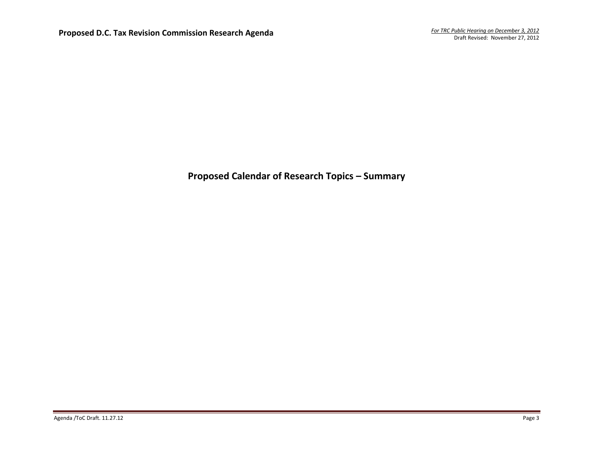## **Proposed Calendar of Research Topics – Summary**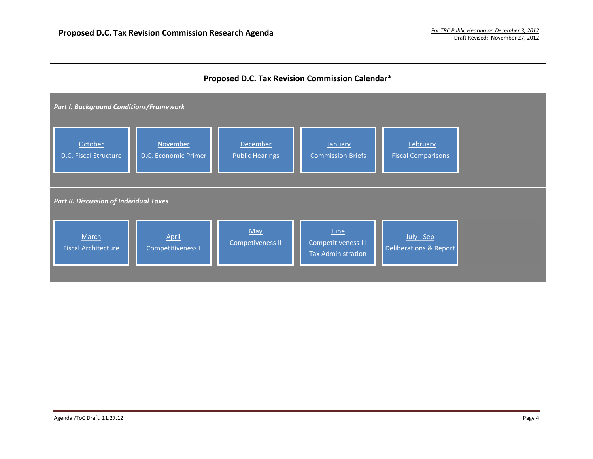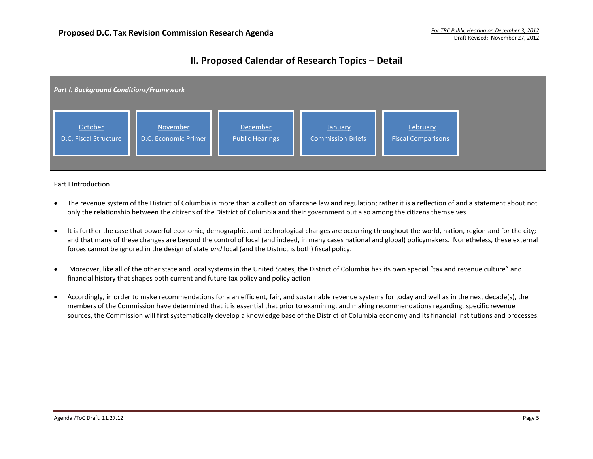## **II. Proposed Calendar of Research Topics – Detail**

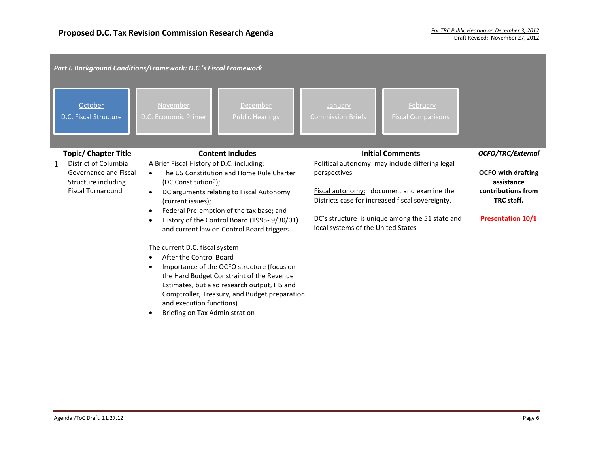| Part I. Background Conditions/Framework: D.C.'s Fiscal Framework                                                 |                                                                                                                                                                                                                                                                                                                                                                                                                                                                                                                                                                                                                                                                         |                                                                                                                                                                                                                                                            |                                                                                                         |  |  |  |  |  |
|------------------------------------------------------------------------------------------------------------------|-------------------------------------------------------------------------------------------------------------------------------------------------------------------------------------------------------------------------------------------------------------------------------------------------------------------------------------------------------------------------------------------------------------------------------------------------------------------------------------------------------------------------------------------------------------------------------------------------------------------------------------------------------------------------|------------------------------------------------------------------------------------------------------------------------------------------------------------------------------------------------------------------------------------------------------------|---------------------------------------------------------------------------------------------------------|--|--|--|--|--|
| October<br>D.C. Fiscal Structure                                                                                 | November<br>December<br>D.C. Economic Primer<br><b>Public Hearings</b>                                                                                                                                                                                                                                                                                                                                                                                                                                                                                                                                                                                                  | February<br>January<br><b>Commission Briefs</b><br><b>Fiscal Comparisons</b>                                                                                                                                                                               |                                                                                                         |  |  |  |  |  |
| <b>Topic/ Chapter Title</b>                                                                                      | <b>Content Includes</b>                                                                                                                                                                                                                                                                                                                                                                                                                                                                                                                                                                                                                                                 | <b>Initial Comments</b>                                                                                                                                                                                                                                    | <b>OCFO/TRC/External</b>                                                                                |  |  |  |  |  |
| District of Columbia<br>$\mathbf{1}$<br>Governance and Fiscal<br>Structure including<br><b>Fiscal Turnaround</b> | A Brief Fiscal History of D.C. including:<br>The US Constitution and Home Rule Charter<br>$\bullet$<br>(DC Constitution?);<br>DC arguments relating to Fiscal Autonomy<br>$\bullet$<br>(current issues);<br>Federal Pre-emption of the tax base; and<br>History of the Control Board (1995-9/30/01)<br>and current law on Control Board triggers<br>The current D.C. fiscal system<br>After the Control Board<br>Importance of the OCFO structure (focus on<br>the Hard Budget Constraint of the Revenue<br>Estimates, but also research output, FIS and<br>Comptroller, Treasury, and Budget preparation<br>and execution functions)<br>Briefing on Tax Administration | Political autonomy: may include differing legal<br>perspectives.<br>Fiscal autonomy: document and examine the<br>Districts case for increased fiscal sovereignty.<br>DC's structure is unique among the 51 state and<br>local systems of the United States | <b>OCFO</b> with drafting<br>assistance<br>contributions from<br>TRC staff.<br><b>Presentation 10/1</b> |  |  |  |  |  |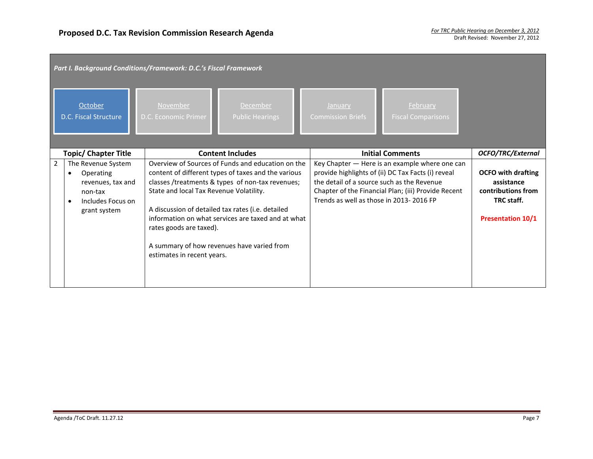|   | Part I. Background Conditions/Framework: D.C.'s Fiscal Framework                                     |                                                                                                  |                                                                                                                                                                                                                                                                                                                       |                                                                                       |                                                                                                                                                             |                                                                                                         |  |  |
|---|------------------------------------------------------------------------------------------------------|--------------------------------------------------------------------------------------------------|-----------------------------------------------------------------------------------------------------------------------------------------------------------------------------------------------------------------------------------------------------------------------------------------------------------------------|---------------------------------------------------------------------------------------|-------------------------------------------------------------------------------------------------------------------------------------------------------------|---------------------------------------------------------------------------------------------------------|--|--|
|   | October<br>D.C. Fiscal Structure                                                                     | November<br>D.C. Economic Primer                                                                 | <b>December</b><br><b>Public Hearings</b>                                                                                                                                                                                                                                                                             | January<br><b>Commission Briefs</b>                                                   | February<br><b>Fiscal Comparisons</b>                                                                                                                       |                                                                                                         |  |  |
|   | <b>Topic/ Chapter Title</b>                                                                          |                                                                                                  | <b>Content Includes</b>                                                                                                                                                                                                                                                                                               |                                                                                       | <b>Initial Comments</b>                                                                                                                                     | <b>OCFO/TRC/External</b>                                                                                |  |  |
| 2 | The Revenue System<br>Operating<br>revenues, tax and<br>non-tax<br>Includes Focus on<br>grant system | State and local Tax Revenue Volatility.<br>rates goods are taxed).<br>estimates in recent years. | Overview of Sources of Funds and education on the<br>content of different types of taxes and the various<br>classes /treatments & types of non-tax revenues;<br>A discussion of detailed tax rates (i.e. detailed<br>information on what services are taxed and at what<br>A summary of how revenues have varied from | the detail of a source such as the Revenue<br>Trends as well as those in 2013-2016 FP | Key Chapter - Here is an example where one can<br>provide highlights of (ii) DC Tax Facts (i) reveal<br>Chapter of the Financial Plan; (iii) Provide Recent | <b>OCFO with drafting</b><br>assistance<br>contributions from<br>TRC staff.<br><b>Presentation 10/1</b> |  |  |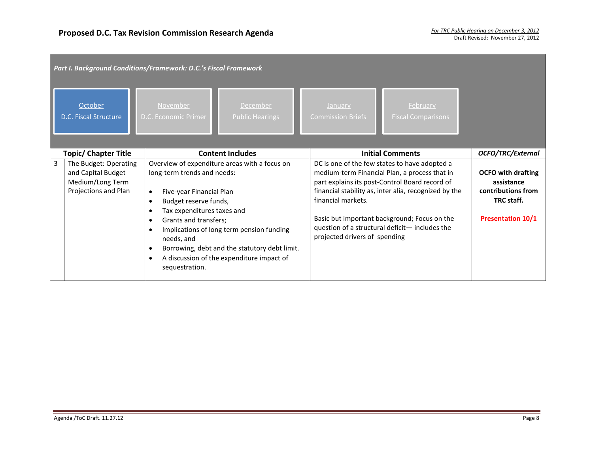|   | Part I. Background Conditions/Framework: D.C.'s Fiscal Framework                        |                                                                                                                                                                         |                                                                                                                                                                                          |                                                     |                                                                                                                                                                                                                                                                                                            |                                                                                                         |  |  |
|---|-----------------------------------------------------------------------------------------|-------------------------------------------------------------------------------------------------------------------------------------------------------------------------|------------------------------------------------------------------------------------------------------------------------------------------------------------------------------------------|-----------------------------------------------------|------------------------------------------------------------------------------------------------------------------------------------------------------------------------------------------------------------------------------------------------------------------------------------------------------------|---------------------------------------------------------------------------------------------------------|--|--|
|   | October<br>D.C. Fiscal Structure                                                        | November<br>D.C. Economic Primer                                                                                                                                        | December<br><b>Public Hearings</b>                                                                                                                                                       | January<br><b>Commission Briefs</b>                 | February<br><b>Fiscal Comparisons</b>                                                                                                                                                                                                                                                                      |                                                                                                         |  |  |
|   | <b>Topic/ Chapter Title</b>                                                             |                                                                                                                                                                         | <b>Content Includes</b>                                                                                                                                                                  |                                                     | <b>Initial Comments</b>                                                                                                                                                                                                                                                                                    | OCFO/TRC/External                                                                                       |  |  |
| 3 | The Budget: Operating<br>and Capital Budget<br>Medium/Long Term<br>Projections and Plan | long-term trends and needs:<br>Five-year Financial Plan<br>Budget reserve funds,<br>Tax expenditures taxes and<br>Grants and transfers;<br>needs, and<br>sequestration. | Overview of expenditure areas with a focus on<br>Implications of long term pension funding<br>Borrowing, debt and the statutory debt limit.<br>A discussion of the expenditure impact of | financial markets.<br>projected drivers of spending | DC is one of the few states to have adopted a<br>medium-term Financial Plan, a process that in<br>part explains its post-Control Board record of<br>financial stability as, inter alia, recognized by the<br>Basic but important background; Focus on the<br>question of a structural deficit-includes the | <b>OCFO</b> with drafting<br>assistance<br>contributions from<br>TRC staff.<br><b>Presentation 10/1</b> |  |  |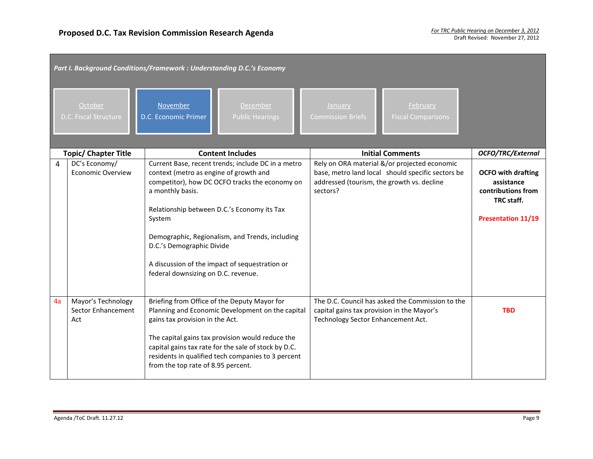|    | Part I. Background Conditions/Framework : Understanding D.C.'s Economy<br>October<br>November<br>December<br>January<br>February<br>D.C. Economic Primer<br>D.C. Fiscal Structure<br><b>Public Hearings</b><br><b>Commission Briefs</b><br><b>Fiscal Comparisons</b> |                                                                                                                                                                                                                                                                                                                                                                                                      |                                                                                                                                                             |                                                                                                          |  |  |  |  |
|----|----------------------------------------------------------------------------------------------------------------------------------------------------------------------------------------------------------------------------------------------------------------------|------------------------------------------------------------------------------------------------------------------------------------------------------------------------------------------------------------------------------------------------------------------------------------------------------------------------------------------------------------------------------------------------------|-------------------------------------------------------------------------------------------------------------------------------------------------------------|----------------------------------------------------------------------------------------------------------|--|--|--|--|
|    | <b>Topic/ Chapter Title</b>                                                                                                                                                                                                                                          | <b>Content Includes</b>                                                                                                                                                                                                                                                                                                                                                                              | <b>Initial Comments</b>                                                                                                                                     | OCFO/TRC/External                                                                                        |  |  |  |  |
| 4  | DC's Economy/<br><b>Economic Overview</b>                                                                                                                                                                                                                            | Current Base, recent trends; include DC in a metro<br>context (metro as engine of growth and<br>competitor), how DC OCFO tracks the economy on<br>a monthly basis.<br>Relationship between D.C.'s Economy its Tax<br>System<br>Demographic, Regionalism, and Trends, including<br>D.C.'s Demographic Divide<br>A discussion of the impact of sequestration or<br>federal downsizing on D.C. revenue. | Rely on ORA material &/or projected economic<br>base, metro land local should specific sectors be<br>addressed (tourism, the growth vs. decline<br>sectors? | <b>OCFO</b> with drafting<br>assistance<br>contributions from<br>TRC staff.<br><b>Presentation 11/19</b> |  |  |  |  |
| 4a | Mayor's Technology<br>Sector Enhancement<br>Act                                                                                                                                                                                                                      | Briefing from Office of the Deputy Mayor for<br>Planning and Economic Development on the capital<br>gains tax provision in the Act.<br>The capital gains tax provision would reduce the<br>capital gains tax rate for the sale of stock by D.C.<br>residents in qualified tech companies to 3 percent<br>from the top rate of 8.95 percent.                                                          | The D.C. Council has asked the Commission to the<br>capital gains tax provision in the Mayor's<br>Technology Sector Enhancement Act.                        | <b>TBD</b>                                                                                               |  |  |  |  |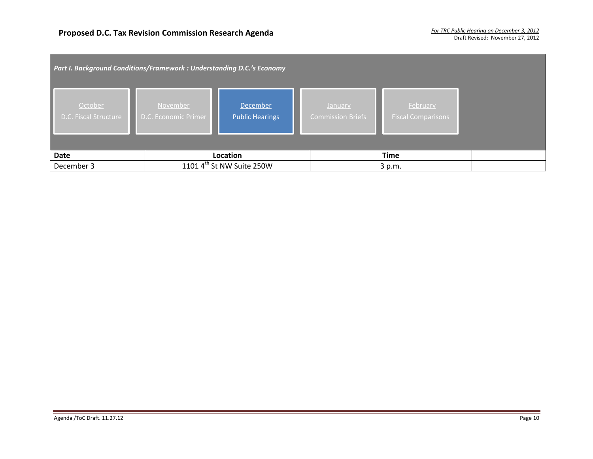| Part I. Background Conditions/Framework: Understanding D.C.'s Economy |                                         |                                       |                              |                                       |  |  |  |
|-----------------------------------------------------------------------|-----------------------------------------|---------------------------------------|------------------------------|---------------------------------------|--|--|--|
| October<br>D.C. Fiscal Structure                                      | <b>November</b><br>D.C. Economic Primer | December<br><b>Public Hearings</b>    | January<br>Commission Briefs | February<br><b>Fiscal Comparisons</b> |  |  |  |
| Date                                                                  |                                         | Location                              |                              | <b>Time</b>                           |  |  |  |
| December 3                                                            |                                         | 1101 $4^{\text{th}}$ St NW Suite 250W |                              | 3 p.m.                                |  |  |  |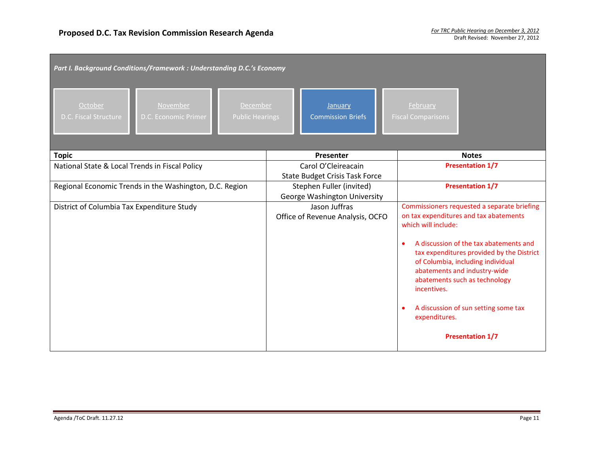| Part I. Background Conditions/Framework : Understanding D.C.'s Economy                                            |                                                                 |                                                                                                                                                                                                                                                                                                                                                                                                              |  |  |  |  |  |  |  |
|-------------------------------------------------------------------------------------------------------------------|-----------------------------------------------------------------|--------------------------------------------------------------------------------------------------------------------------------------------------------------------------------------------------------------------------------------------------------------------------------------------------------------------------------------------------------------------------------------------------------------|--|--|--|--|--|--|--|
| October<br>November<br><b>December</b><br>D.C. Fiscal Structure<br>D.C. Economic Primer<br><b>Public Hearings</b> | January<br><b>Commission Briefs</b>                             | February<br><b>Fiscal Comparisons</b>                                                                                                                                                                                                                                                                                                                                                                        |  |  |  |  |  |  |  |
| <b>Topic</b>                                                                                                      | Presenter                                                       | <b>Notes</b>                                                                                                                                                                                                                                                                                                                                                                                                 |  |  |  |  |  |  |  |
| National State & Local Trends in Fiscal Policy                                                                    | Carol O'Cleireacain<br><b>State Budget Crisis Task Force</b>    | <b>Presentation 1/7</b>                                                                                                                                                                                                                                                                                                                                                                                      |  |  |  |  |  |  |  |
| Regional Economic Trends in the Washington, D.C. Region                                                           | Stephen Fuller (invited)<br><b>George Washington University</b> | <b>Presentation 1/7</b>                                                                                                                                                                                                                                                                                                                                                                                      |  |  |  |  |  |  |  |
| District of Columbia Tax Expenditure Study                                                                        | Jason Juffras<br>Office of Revenue Analysis, OCFO               | Commissioners requested a separate briefing<br>on tax expenditures and tax abatements<br>which will include:<br>A discussion of the tax abatements and<br>tax expenditures provided by the District<br>of Columbia, including individual<br>abatements and industry-wide<br>abatements such as technology<br>incentives.<br>A discussion of sun setting some tax<br>expenditures.<br><b>Presentation 1/7</b> |  |  |  |  |  |  |  |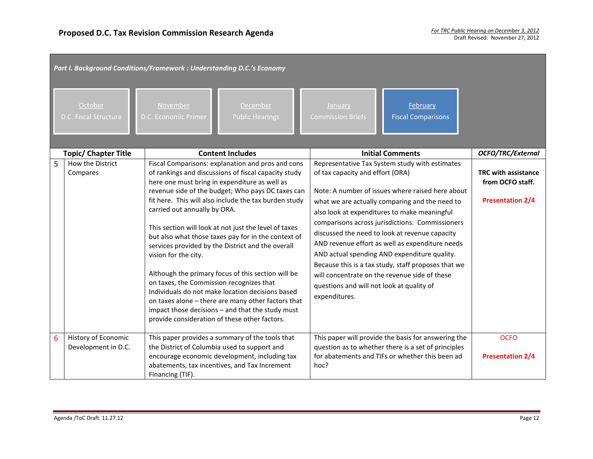|   | Part I. Background Conditions/Framework : Understanding D.C.'s Economy |                                                                                                                                                   |                                                                                                                                                                                                                                                                                                                                                                                                                                                                                                                                                                                                                                                                   |                                                                                                |                                                                                                                                                                                                                                                                                                                                                                                                                                                                                                                      |                                                                    |  |
|---|------------------------------------------------------------------------|---------------------------------------------------------------------------------------------------------------------------------------------------|-------------------------------------------------------------------------------------------------------------------------------------------------------------------------------------------------------------------------------------------------------------------------------------------------------------------------------------------------------------------------------------------------------------------------------------------------------------------------------------------------------------------------------------------------------------------------------------------------------------------------------------------------------------------|------------------------------------------------------------------------------------------------|----------------------------------------------------------------------------------------------------------------------------------------------------------------------------------------------------------------------------------------------------------------------------------------------------------------------------------------------------------------------------------------------------------------------------------------------------------------------------------------------------------------------|--------------------------------------------------------------------|--|
|   | October<br>D.C. Fiscal Structure                                       | November<br>D.C. Economic Primer                                                                                                                  | December<br><b>Public Hearings</b>                                                                                                                                                                                                                                                                                                                                                                                                                                                                                                                                                                                                                                | January<br><b>Commission Briefs</b>                                                            | February<br><b>Fiscal Comparisons</b>                                                                                                                                                                                                                                                                                                                                                                                                                                                                                |                                                                    |  |
|   | <b>Topic/ Chapter Title</b>                                            |                                                                                                                                                   | <b>Content Includes</b>                                                                                                                                                                                                                                                                                                                                                                                                                                                                                                                                                                                                                                           |                                                                                                | <b>Initial Comments</b>                                                                                                                                                                                                                                                                                                                                                                                                                                                                                              | <b>OCFO/TRC/External</b>                                           |  |
| 5 | How the District<br>Compares                                           | carried out annually by ORA.<br>vision for the city.<br>on taxes, the Commission recognizes that<br>provide consideration of these other factors. | Fiscal Comparisons: explanation and pros and cons<br>of rankings and discussions of fiscal capacity study<br>here one must bring in expenditure as well as<br>revenue side of the budget; Who pays DC taxes can<br>fit here. This will also include the tax burden study<br>This section will look at not just the level of taxes<br>but also what those taxes pay for in the context of<br>services provided by the District and the overall<br>Although the primary focus of this section will be<br>Individuals do not make location decisions based<br>on taxes alone - there are many other factors that<br>impact those decisions - and that the study must | of tax capacity and effort (ORA)<br>questions and will not look at quality of<br>expenditures. | Representative Tax System study with estimates<br>Note: A number of issues where raised here about<br>what we are actually comparing and the need to<br>also look at expenditures to make meaningful<br>comparisons across jurisdictions. Commissioners<br>discussed the need to look at revenue capacity<br>AND revenue effort as well as expenditure needs<br>AND actual spending AND expenditure quality.<br>Because this is a tax study, staff proposes that we<br>will concentrate on the revenue side of these | TRC with assistance<br>from OCFO staff.<br><b>Presentation 2/4</b> |  |
| 6 | History of Economic<br>Development in D.C.                             | the District of Columbia used to support and<br>Financing (TIF).                                                                                  | This paper provides a summary of the tools that<br>encourage economic development, including tax<br>abatements, tax incentives, and Tax Increment                                                                                                                                                                                                                                                                                                                                                                                                                                                                                                                 | hoc?                                                                                           | This paper will provide the basis for answering the<br>question as to whether there is a set of principles<br>for abatements and TIFs or whether this been ad                                                                                                                                                                                                                                                                                                                                                        | <b>OCFO</b><br><b>Presentation 2/4</b>                             |  |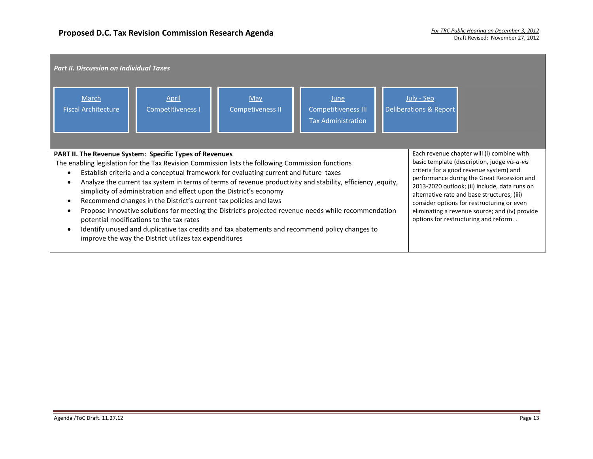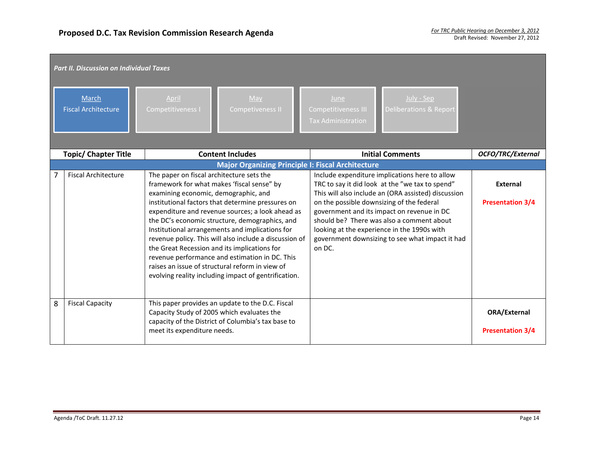|   | <b>Part II. Discussion on Individual Taxes</b> |                                                                                                                                                                                                                                                                                                                                                                                                                                                                                                                                                                                                                      |                                                                                                                                                                                                                                                                                                                                                                                                              |                                                |  |  |  |
|---|------------------------------------------------|----------------------------------------------------------------------------------------------------------------------------------------------------------------------------------------------------------------------------------------------------------------------------------------------------------------------------------------------------------------------------------------------------------------------------------------------------------------------------------------------------------------------------------------------------------------------------------------------------------------------|--------------------------------------------------------------------------------------------------------------------------------------------------------------------------------------------------------------------------------------------------------------------------------------------------------------------------------------------------------------------------------------------------------------|------------------------------------------------|--|--|--|
|   | <b>March</b><br><b>Fiscal Architecture</b>     | May<br>April<br><b>Competitiveness I</b><br>Competiveness II                                                                                                                                                                                                                                                                                                                                                                                                                                                                                                                                                         | July - Sep<br>June<br><b>Deliberations &amp; Report</b><br>Competitiveness III<br><b>Tax Administration</b>                                                                                                                                                                                                                                                                                                  |                                                |  |  |  |
|   | <b>Topic/ Chapter Title</b>                    | <b>Content Includes</b>                                                                                                                                                                                                                                                                                                                                                                                                                                                                                                                                                                                              | <b>Initial Comments</b>                                                                                                                                                                                                                                                                                                                                                                                      | OCFO/TRC/External                              |  |  |  |
|   |                                                | <b>Major Organizing Principle I: Fiscal Architecture</b>                                                                                                                                                                                                                                                                                                                                                                                                                                                                                                                                                             |                                                                                                                                                                                                                                                                                                                                                                                                              |                                                |  |  |  |
|   | <b>Fiscal Architecture</b>                     | The paper on fiscal architecture sets the<br>framework for what makes 'fiscal sense" by<br>examining economic, demographic, and<br>institutional factors that determine pressures on<br>expenditure and revenue sources; a look ahead as<br>the DC's economic structure, demographics, and<br>Institutional arrangements and implications for<br>revenue policy. This will also include a discussion of<br>the Great Recession and its implications for<br>revenue performance and estimation in DC. This<br>raises an issue of structural reform in view of<br>evolving reality including impact of gentrification. | Include expenditure implications here to allow<br>TRC to say it did look at the "we tax to spend"<br>This will also include an (ORA assisted) discussion<br>on the possible downsizing of the federal<br>government and its impact on revenue in DC<br>should be? There was also a comment about<br>looking at the experience in the 1990s with<br>government downsizing to see what impact it had<br>on DC. | <b>External</b><br><b>Presentation 3/4</b>     |  |  |  |
| 8 | <b>Fiscal Capacity</b>                         | This paper provides an update to the D.C. Fiscal<br>Capacity Study of 2005 which evaluates the<br>capacity of the District of Columbia's tax base to<br>meet its expenditure needs.                                                                                                                                                                                                                                                                                                                                                                                                                                  |                                                                                                                                                                                                                                                                                                                                                                                                              | <b>ORA/External</b><br><b>Presentation 3/4</b> |  |  |  |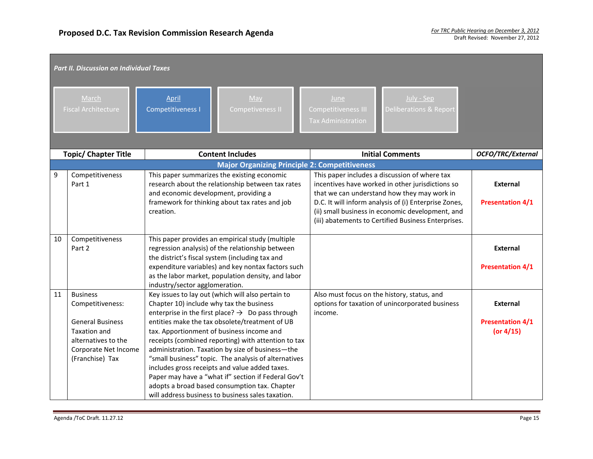|    | <b>Part II. Discussion on Individual Taxes</b>                                                                                                          |                                                    |                                                                                                                                                                                                                                                                                                                                                                                                                                                                                                                                                                                                    |  |                                                                 |                                                                                                                                                                                                                                                                                                                      |                                                     |  |
|----|---------------------------------------------------------------------------------------------------------------------------------------------------------|----------------------------------------------------|----------------------------------------------------------------------------------------------------------------------------------------------------------------------------------------------------------------------------------------------------------------------------------------------------------------------------------------------------------------------------------------------------------------------------------------------------------------------------------------------------------------------------------------------------------------------------------------------------|--|-----------------------------------------------------------------|----------------------------------------------------------------------------------------------------------------------------------------------------------------------------------------------------------------------------------------------------------------------------------------------------------------------|-----------------------------------------------------|--|
|    | March<br><b>Fiscal Architecture</b>                                                                                                                     | April<br><b>Competitiveness I</b>                  | $M$ ay<br>Competiveness II                                                                                                                                                                                                                                                                                                                                                                                                                                                                                                                                                                         |  | June<br><b>Competitiveness III</b><br><b>Tax Administration</b> | July - Sep<br>Deliberations & Report                                                                                                                                                                                                                                                                                 |                                                     |  |
|    | <b>Topic/ Chapter Title</b>                                                                                                                             |                                                    | <b>Content Includes</b>                                                                                                                                                                                                                                                                                                                                                                                                                                                                                                                                                                            |  |                                                                 | <b>Initial Comments</b>                                                                                                                                                                                                                                                                                              | OCFO/TRC/External                                   |  |
|    |                                                                                                                                                         |                                                    | <b>Major Organizing Principle 2: Competitiveness</b>                                                                                                                                                                                                                                                                                                                                                                                                                                                                                                                                               |  |                                                                 |                                                                                                                                                                                                                                                                                                                      |                                                     |  |
| 9  | Competitiveness<br>Part 1                                                                                                                               | and economic development, providing a<br>creation. | This paper summarizes the existing economic<br>research about the relationship between tax rates<br>framework for thinking about tax rates and job                                                                                                                                                                                                                                                                                                                                                                                                                                                 |  |                                                                 | This paper includes a discussion of where tax<br>incentives have worked in other jurisdictions so<br>that we can understand how they may work in<br>D.C. It will inform analysis of (i) Enterprise Zones,<br>(ii) small business in economic development, and<br>(iii) abatements to Certified Business Enterprises. | <b>External</b><br><b>Presentation 4/1</b>          |  |
| 10 | Competitiveness<br>Part 2                                                                                                                               | industry/sector agglomeration.                     | This paper provides an empirical study (multiple<br>regression analysis) of the relationship between<br>the district's fiscal system (including tax and<br>expenditure variables) and key nontax factors such<br>as the labor market, population density, and labor                                                                                                                                                                                                                                                                                                                                |  |                                                                 |                                                                                                                                                                                                                                                                                                                      | <b>External</b><br><b>Presentation 4/1</b>          |  |
| 11 | <b>Business</b><br>Competitiveness:<br><b>General Business</b><br><b>Taxation and</b><br>alternatives to the<br>Corporate Net Income<br>(Franchise) Tax | Chapter 10) include why tax the business           | Key issues to lay out (which will also pertain to<br>enterprise in the first place? $\rightarrow$ Do pass through<br>entities make the tax obsolete/treatment of UB<br>tax. Apportionment of business income and<br>receipts (combined reporting) with attention to tax<br>administration. Taxation by size of business-the<br>"small business" topic. The analysis of alternatives<br>includes gross receipts and value added taxes.<br>Paper may have a "what if" section if Federal Gov't<br>adopts a broad based consumption tax. Chapter<br>will address business to business sales taxation. |  | Also must focus on the history, status, and<br>income.          | options for taxation of unincorporated business                                                                                                                                                                                                                                                                      | External<br><b>Presentation 4/1</b><br>(or $4/15$ ) |  |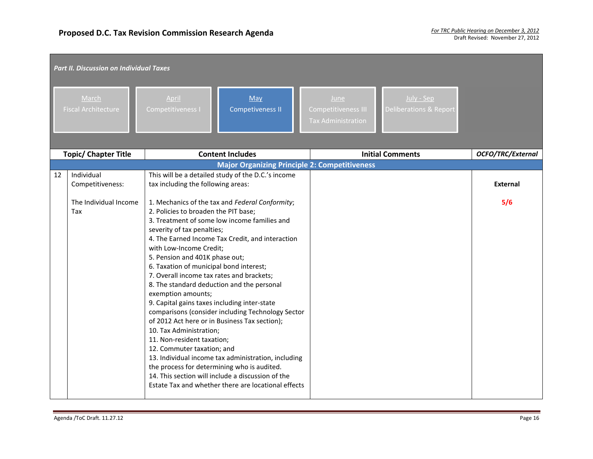|    | <b>Part II. Discussion on Individual Taxes</b> |                                                                                                                                                                                                                                                                                                                                                                                      |                                                                                                                                                                                                                                                                                                                                                                                                                                                                                                                           |                                                          |                                                 |                   |
|----|------------------------------------------------|--------------------------------------------------------------------------------------------------------------------------------------------------------------------------------------------------------------------------------------------------------------------------------------------------------------------------------------------------------------------------------------|---------------------------------------------------------------------------------------------------------------------------------------------------------------------------------------------------------------------------------------------------------------------------------------------------------------------------------------------------------------------------------------------------------------------------------------------------------------------------------------------------------------------------|----------------------------------------------------------|-------------------------------------------------|-------------------|
|    | March<br><b>Fiscal Architecture</b>            | April<br>Competitiveness I                                                                                                                                                                                                                                                                                                                                                           | May<br><b>Competiveness II</b>                                                                                                                                                                                                                                                                                                                                                                                                                                                                                            | June<br>Competitiveness III<br><b>Tax Administration</b> | July - Sep<br><b>Deliberations &amp; Report</b> |                   |
|    | <b>Topic/ Chapter Title</b>                    |                                                                                                                                                                                                                                                                                                                                                                                      | <b>Content Includes</b>                                                                                                                                                                                                                                                                                                                                                                                                                                                                                                   |                                                          | <b>Initial Comments</b>                         | OCFO/TRC/External |
|    |                                                |                                                                                                                                                                                                                                                                                                                                                                                      | <b>Major Organizing Principle 2: Competitiveness</b>                                                                                                                                                                                                                                                                                                                                                                                                                                                                      |                                                          |                                                 |                   |
| 12 | Individual<br>Competitiveness:                 | tax including the following areas:                                                                                                                                                                                                                                                                                                                                                   | This will be a detailed study of the D.C.'s income                                                                                                                                                                                                                                                                                                                                                                                                                                                                        |                                                          |                                                 | <b>External</b>   |
|    | The Individual Income<br>Tax                   | 2. Policies to broaden the PIT base;<br>severity of tax penalties;<br>with Low-Income Credit;<br>5. Pension and 401K phase out;<br>6. Taxation of municipal bond interest;<br>7. Overall income tax rates and brackets;<br>exemption amounts;<br>9. Capital gains taxes including inter-state<br>10. Tax Administration;<br>11. Non-resident taxation;<br>12. Commuter taxation; and | 1. Mechanics of the tax and Federal Conformity;<br>3. Treatment of some low income families and<br>4. The Earned Income Tax Credit, and interaction<br>8. The standard deduction and the personal<br>comparisons (consider including Technology Sector<br>of 2012 Act here or in Business Tax section);<br>13. Individual income tax administration, including<br>the process for determining who is audited.<br>14. This section will include a discussion of the<br>Estate Tax and whether there are locational effects |                                                          |                                                 | 5/6               |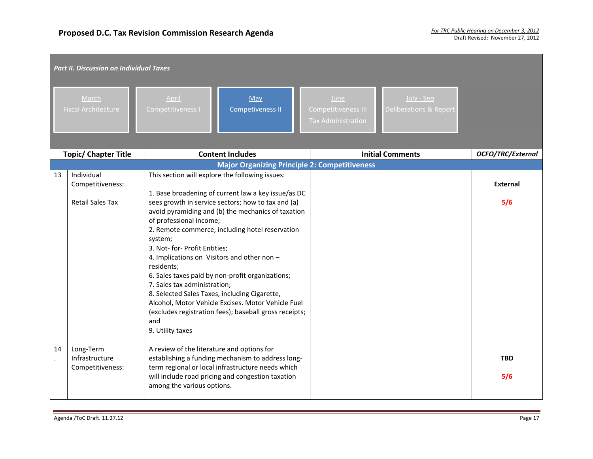|    | <b>Part II. Discussion on Individual Taxes</b>            |                                                                                                                                                                                                                                              |                                                                                                                                                                                                                                                                                                                                                                                                                                           |  |                                                          |                                                 |                        |  |
|----|-----------------------------------------------------------|----------------------------------------------------------------------------------------------------------------------------------------------------------------------------------------------------------------------------------------------|-------------------------------------------------------------------------------------------------------------------------------------------------------------------------------------------------------------------------------------------------------------------------------------------------------------------------------------------------------------------------------------------------------------------------------------------|--|----------------------------------------------------------|-------------------------------------------------|------------------------|--|
|    | March<br><b>Fiscal Architecture</b>                       | April<br><b>Competitiveness I</b>                                                                                                                                                                                                            | May<br>Competiveness II                                                                                                                                                                                                                                                                                                                                                                                                                   |  | June<br>Competitiveness III<br><b>Tax Administration</b> | July - Sep<br><b>Deliberations &amp; Report</b> |                        |  |
|    | <b>Topic/ Chapter Title</b>                               |                                                                                                                                                                                                                                              | <b>Content Includes</b>                                                                                                                                                                                                                                                                                                                                                                                                                   |  |                                                          | <b>Initial Comments</b>                         | OCFO/TRC/External      |  |
|    |                                                           |                                                                                                                                                                                                                                              | <b>Major Organizing Principle 2: Competitiveness</b>                                                                                                                                                                                                                                                                                                                                                                                      |  |                                                          |                                                 |                        |  |
| 13 | Individual<br>Competitiveness:<br><b>Retail Sales Tax</b> | of professional income;<br>system;<br>3. Not- for- Profit Entities;<br>4. Implications on Visitors and other non -<br>residents;<br>7. Sales tax administration;<br>8. Selected Sales Taxes, including Cigarette,<br>and<br>9. Utility taxes | This section will explore the following issues:<br>1. Base broadening of current law a key issue/as DC<br>sees growth in service sectors; how to tax and (a)<br>avoid pyramiding and (b) the mechanics of taxation<br>2. Remote commerce, including hotel reservation<br>6. Sales taxes paid by non-profit organizations;<br>Alcohol, Motor Vehicle Excises. Motor Vehicle Fuel<br>(excludes registration fees); baseball gross receipts; |  |                                                          |                                                 | <b>External</b><br>5/6 |  |
| 14 | Long-Term<br>Infrastructure<br>Competitiveness:           | A review of the literature and options for<br>among the various options.                                                                                                                                                                     | establishing a funding mechanism to address long-<br>term regional or local infrastructure needs which<br>will include road pricing and congestion taxation                                                                                                                                                                                                                                                                               |  |                                                          |                                                 | <b>TBD</b><br>5/6      |  |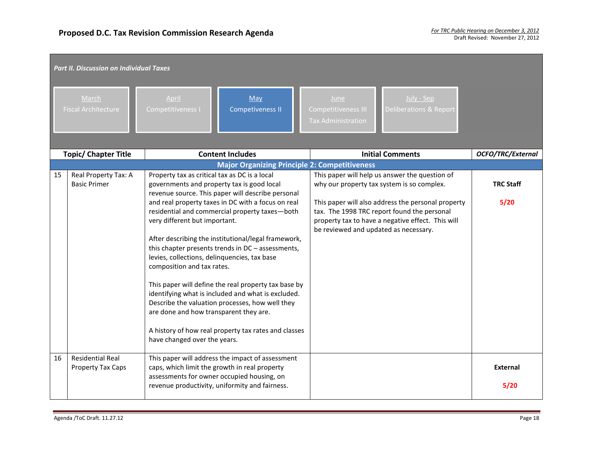|    | <b>Part II. Discussion on Individual Taxes</b> |                                                                                                                                                                                       |                                                                                                                                                                                                                                                                                                                                                                                                                                           |  |                                                          |                                                                                                                                                        |                         |  |
|----|------------------------------------------------|---------------------------------------------------------------------------------------------------------------------------------------------------------------------------------------|-------------------------------------------------------------------------------------------------------------------------------------------------------------------------------------------------------------------------------------------------------------------------------------------------------------------------------------------------------------------------------------------------------------------------------------------|--|----------------------------------------------------------|--------------------------------------------------------------------------------------------------------------------------------------------------------|-------------------------|--|
|    | March<br><b>Fiscal Architecture</b>            | April<br>Competitiveness I                                                                                                                                                            | May<br><b>Competiveness II</b>                                                                                                                                                                                                                                                                                                                                                                                                            |  | June<br>Competitiveness III<br><b>Tax Administration</b> | July - Sep<br><b>Deliberations &amp; Report</b>                                                                                                        |                         |  |
|    | <b>Topic/ Chapter Title</b>                    |                                                                                                                                                                                       | <b>Content Includes</b>                                                                                                                                                                                                                                                                                                                                                                                                                   |  |                                                          | <b>Initial Comments</b>                                                                                                                                | OCFO/TRC/External       |  |
|    |                                                |                                                                                                                                                                                       | <b>Major Organizing Principle 2: Competitiveness</b>                                                                                                                                                                                                                                                                                                                                                                                      |  |                                                          |                                                                                                                                                        |                         |  |
| 15 | Real Property Tax: A<br><b>Basic Primer</b>    | Property tax as critical tax as DC is a local<br>governments and property tax is good local                                                                                           | revenue source. This paper will describe personal                                                                                                                                                                                                                                                                                                                                                                                         |  |                                                          | This paper will help us answer the question of<br>why our property tax system is so complex.                                                           | <b>TRC Staff</b>        |  |
|    |                                                | very different but important.<br>levies, collections, delinquencies, tax base<br>composition and tax rates.<br>are done and how transparent they are.<br>have changed over the years. | and real property taxes in DC with a focus on real<br>residential and commercial property taxes-both<br>After describing the institutional/legal framework,<br>this chapter presents trends in DC - assessments,<br>This paper will define the real property tax base by<br>identifying what is included and what is excluded.<br>Describe the valuation processes, how well they<br>A history of how real property tax rates and classes |  | be reviewed and updated as necessary.                    | This paper will also address the personal property<br>tax. The 1998 TRC report found the personal<br>property tax to have a negative effect. This will | 5/20                    |  |
| 16 | <b>Residential Real</b><br>Property Tax Caps   |                                                                                                                                                                                       | This paper will address the impact of assessment<br>caps, which limit the growth in real property<br>assessments for owner occupied housing, on<br>revenue productivity, uniformity and fairness.                                                                                                                                                                                                                                         |  |                                                          |                                                                                                                                                        | <b>External</b><br>5/20 |  |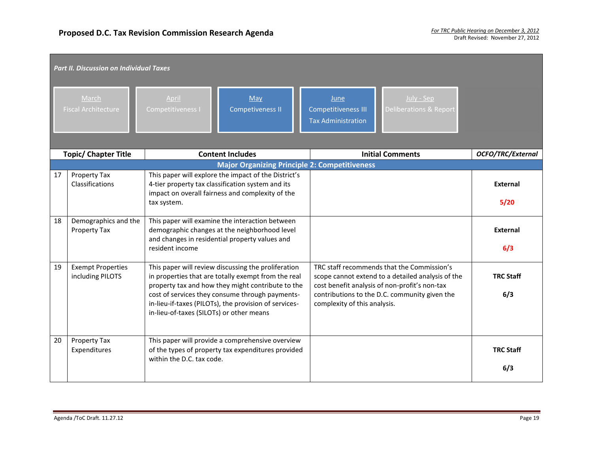| <b>Part II. Discussion on Individual Taxes</b> |                                              |                                                                                                                                                                                                                                                                                                                         |                                                                                                        |                                                                                                                                                                                                                                   |                                                                 |                                                 |                          |
|------------------------------------------------|----------------------------------------------|-------------------------------------------------------------------------------------------------------------------------------------------------------------------------------------------------------------------------------------------------------------------------------------------------------------------------|--------------------------------------------------------------------------------------------------------|-----------------------------------------------------------------------------------------------------------------------------------------------------------------------------------------------------------------------------------|-----------------------------------------------------------------|-------------------------------------------------|--------------------------|
|                                                | March<br><b>Fiscal Architecture</b>          | April<br>Competitiveness I                                                                                                                                                                                                                                                                                              | May<br><b>Competiveness II</b>                                                                         |                                                                                                                                                                                                                                   | June<br><b>Competitiveness III</b><br><b>Tax Administration</b> | July - Sep<br><b>Deliberations &amp; Report</b> |                          |
|                                                | <b>Topic/ Chapter Title</b>                  |                                                                                                                                                                                                                                                                                                                         | <b>Content Includes</b>                                                                                |                                                                                                                                                                                                                                   | <b>Initial Comments</b>                                         |                                                 | <b>OCFO/TRC/External</b> |
| 17                                             | Property Tax<br>Classifications              | <b>Major Organizing Principle 2: Competitiveness</b><br>This paper will explore the impact of the District's<br>4-tier property tax classification system and its<br>impact on overall fairness and complexity of the<br>tax system.                                                                                    |                                                                                                        |                                                                                                                                                                                                                                   |                                                                 |                                                 | <b>External</b><br>5/20  |
| 18                                             | Demographics and the<br>Property Tax         | This paper will examine the interaction between<br>demographic changes at the neighborhood level<br>and changes in residential property values and<br>resident income                                                                                                                                                   |                                                                                                        |                                                                                                                                                                                                                                   |                                                                 |                                                 | External<br>6/3          |
| 19                                             | <b>Exempt Properties</b><br>including PILOTS | This paper will review discussing the proliferation<br>in properties that are totally exempt from the real<br>property tax and how they might contribute to the<br>cost of services they consume through payments-<br>in-lieu-if-taxes (PILOTs), the provision of services-<br>in-lieu-of-taxes (SILOTs) or other means |                                                                                                        | TRC staff recommends that the Commission's<br>scope cannot extend to a detailed analysis of the<br>cost benefit analysis of non-profit's non-tax<br>contributions to the D.C. community given the<br>complexity of this analysis. |                                                                 | <b>TRC Staff</b><br>6/3                         |                          |
| 20                                             | Property Tax<br>Expenditures                 | within the D.C. tax code.                                                                                                                                                                                                                                                                                               | This paper will provide a comprehensive overview<br>of the types of property tax expenditures provided |                                                                                                                                                                                                                                   |                                                                 |                                                 | <b>TRC Staff</b><br>6/3  |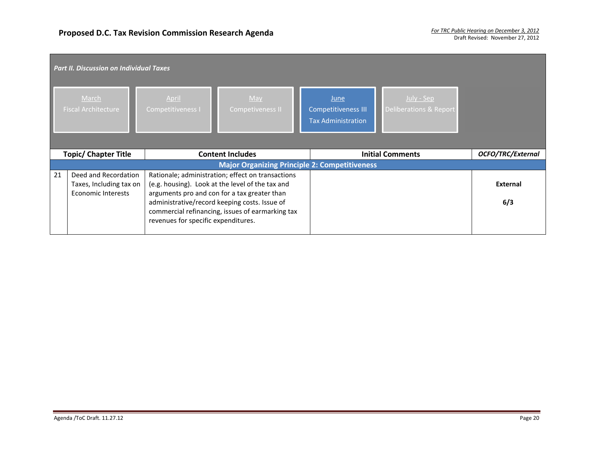| <b>Part II. Discussion on Individual Taxes</b>       |                                                                              |                                     |                                                                                                                                                                                                                                                            |                                                                 |                                                 |                        |  |  |
|------------------------------------------------------|------------------------------------------------------------------------------|-------------------------------------|------------------------------------------------------------------------------------------------------------------------------------------------------------------------------------------------------------------------------------------------------------|-----------------------------------------------------------------|-------------------------------------------------|------------------------|--|--|
|                                                      | March<br><b>Fiscal Architecture</b>                                          | April<br>Competitiveness I          | May<br>Competiveness II                                                                                                                                                                                                                                    | <b>June</b><br>Competitiveness III<br><b>Tax Administration</b> | July - Sep<br><b>Deliberations &amp; Report</b> |                        |  |  |
|                                                      | <b>Topic/ Chapter Title</b>                                                  | <b>Content Includes</b>             |                                                                                                                                                                                                                                                            |                                                                 | <b>Initial Comments</b>                         | OCFO/TRC/External      |  |  |
| <b>Major Organizing Principle 2: Competitiveness</b> |                                                                              |                                     |                                                                                                                                                                                                                                                            |                                                                 |                                                 |                        |  |  |
| 21                                                   | Deed and Recordation<br>Taxes, Including tax on<br><b>Economic Interests</b> | revenues for specific expenditures. | Rationale; administration; effect on transactions<br>(e.g. housing). Look at the level of the tax and<br>arguments pro and con for a tax greater than<br>administrative/record keeping costs. Issue of<br>commercial refinancing, issues of earmarking tax |                                                                 |                                                 | <b>External</b><br>6/3 |  |  |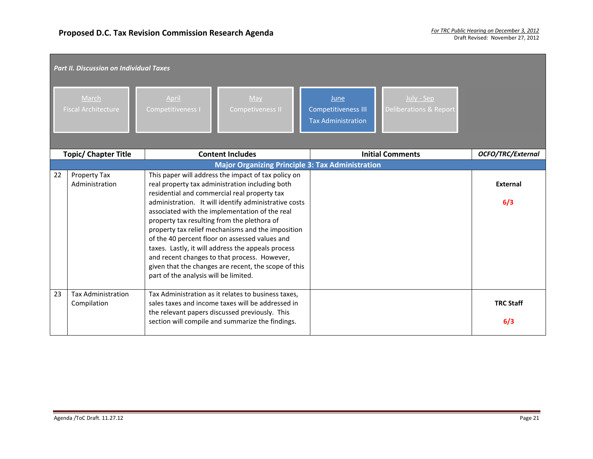| <b>Part II. Discussion on Individual Taxes</b> |                                                        |                                                                                                                                                                                                                                                                                                                                                                                                                                                                                                                                                                                                                                |                                                                                                                    |                          |  |  |
|------------------------------------------------|--------------------------------------------------------|--------------------------------------------------------------------------------------------------------------------------------------------------------------------------------------------------------------------------------------------------------------------------------------------------------------------------------------------------------------------------------------------------------------------------------------------------------------------------------------------------------------------------------------------------------------------------------------------------------------------------------|--------------------------------------------------------------------------------------------------------------------|--------------------------|--|--|
|                                                | March<br>Fiscal Architecture                           | May<br>April<br>Competitiveness I<br><b>Competiveness II</b>                                                                                                                                                                                                                                                                                                                                                                                                                                                                                                                                                                   | July - Sep<br>June<br><b>Competitiveness III</b><br><b>Deliberations &amp; Report</b><br><b>Tax Administration</b> |                          |  |  |
|                                                | <b>Content Includes</b><br><b>Topic/ Chapter Title</b> |                                                                                                                                                                                                                                                                                                                                                                                                                                                                                                                                                                                                                                | <b>Initial Comments</b>                                                                                            | <b>OCFO/TRC/External</b> |  |  |
|                                                |                                                        | <b>Major Organizing Principle 3: Tax Administration</b>                                                                                                                                                                                                                                                                                                                                                                                                                                                                                                                                                                        |                                                                                                                    |                          |  |  |
| 22                                             | Property Tax<br>Administration                         | This paper will address the impact of tax policy on<br>real property tax administration including both<br>residential and commercial real property tax<br>administration. It will identify administrative costs<br>associated with the implementation of the real<br>property tax resulting from the plethora of<br>property tax relief mechanisms and the imposition<br>of the 40 percent floor on assessed values and<br>taxes. Lastly, it will address the appeals process<br>and recent changes to that process. However,<br>given that the changes are recent, the scope of this<br>part of the analysis will be limited. |                                                                                                                    | <b>External</b><br>6/3   |  |  |
| 23                                             | <b>Tax Administration</b><br>Compilation               | Tax Administration as it relates to business taxes,<br>sales taxes and income taxes will be addressed in<br>the relevant papers discussed previously. This<br>section will compile and summarize the findings.                                                                                                                                                                                                                                                                                                                                                                                                                 |                                                                                                                    | <b>TRC Staff</b><br>6/3  |  |  |